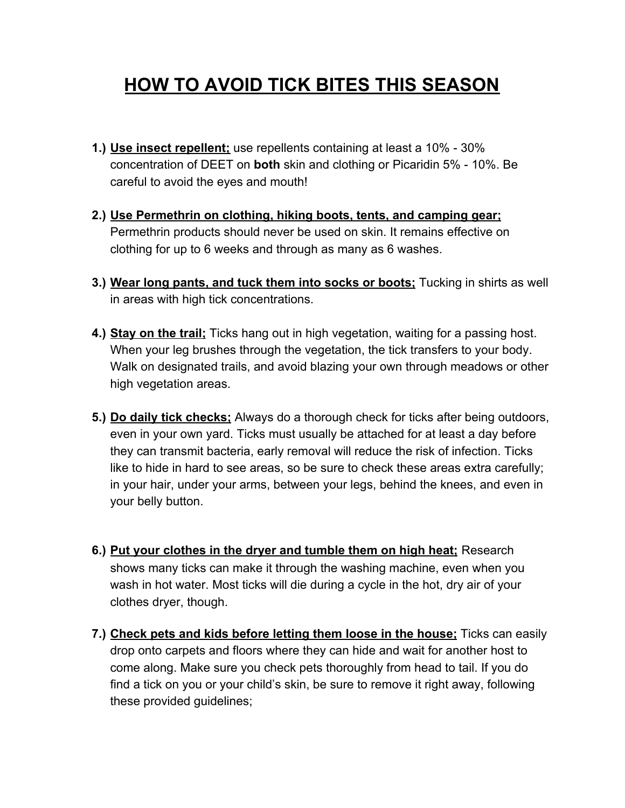## **HOW TO AVOID TICK BITES THIS SEASON**

- **1.) Use insect repellent;** use repellents containing at least a 10% 30% concentration of DEET on **both** skin and clothing or Picaridin 5% - 10%. Be careful to avoid the eyes and mouth!
- **2.) Use Permethrin on clothing, hiking boots, tents, and camping gear;** Permethrin products should never be used on skin. It remains effective on clothing for up to 6 weeks and through as many as 6 washes.
- **3.) Wear long pants, and tuck them into socks or boots;** Tucking in shirts as well in areas with high tick concentrations.
- **4.) Stay on the trail;** Ticks hang out in high vegetation, waiting for a passing host. When your leg brushes through the vegetation, [the tick transfers to your body.](https://www.thoughtco.com/how-ticks-get-on-you-1968610) Walk on designated trails, and avoid blazing your own through meadows or other high vegetation areas.
- **5.) Do daily tick checks;** Always do a thorough check for ticks after being outdoors, even in your own yard. Ticks must usually be attached for at least a day before they can transmit bacteria, early removal will reduce the risk of infection. Ticks like to hide in hard to see areas, so be sure to check these areas extra carefully; in your hair, under your arms, between your legs, behind the knees, and even in your belly button.
- **6.) Put your clothes in the dryer and tumble them on high heat;** Research shows many ticks can make it through the washing machine, even when you wash in hot water. Most ticks will die during a cycle in the hot, dry air of your clothes dryer, though.
- **7.) Check pets and kids before letting them loose in the house;** Ticks can easily drop onto carpets and floors where they can hide and wait for another host to come along. Make sure you check pets thoroughly from head to tail. If you do find a tick on you or your child's skin, be sure to remove it right away, following these provided guidelines;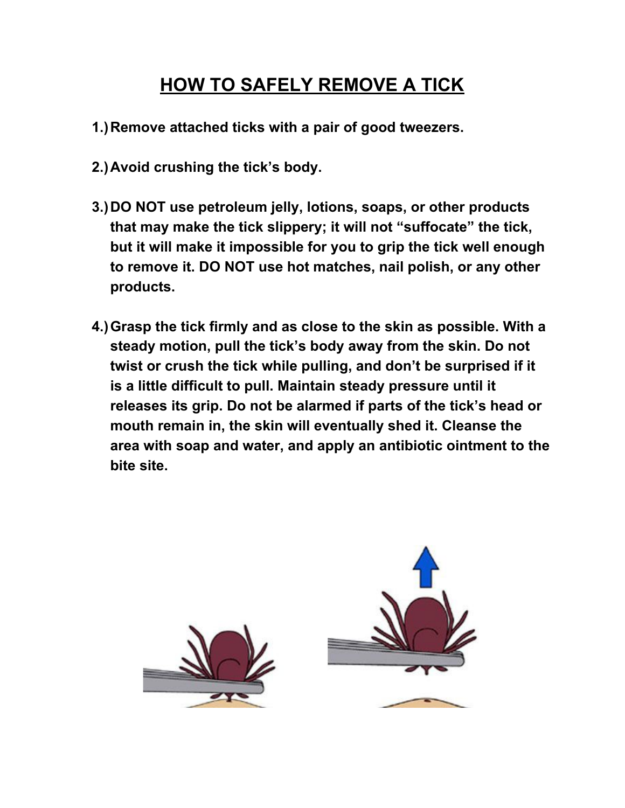### **HOW TO SAFELY REMOVE A TICK**

- **1.)Remove attached ticks with a pair of good tweezers.**
- **2.)Avoid crushing the tick's body.**
- **3.)DO NOT use petroleum jelly, lotions, soaps, or other products that may make the tick slippery; it will not "suffocate" the tick, but it will make it impossible for you to grip the tick well enough to remove it. DO NOT use hot matches, nail polish, or any other products.**
- **4.)Grasp the tick firmly and as close to the skin as possible. With a steady motion, pull the tick's body away from the skin. Do not twist or crush the tick while pulling, and don't be surprised if it is a little difficult to pull. Maintain steady pressure until it releases its grip. Do not be alarmed if parts of the tick's head or mouth remain in, the skin will eventually shed it. Cleanse the area with soap and water, and apply an antibiotic ointment to the bite site.**

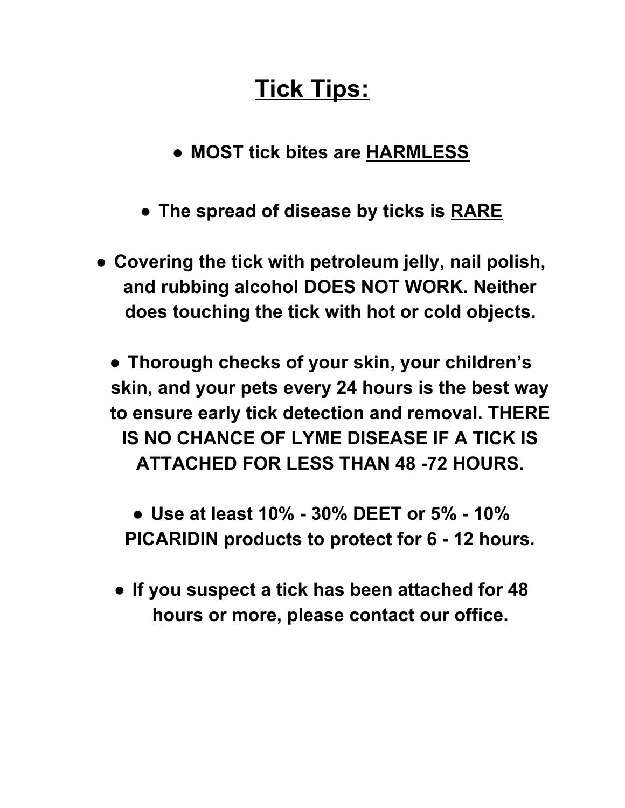# **Tick Tips:**

**● MOST tick bites are HARMLESS**

- **● The spread of disease by ticks is RARE**
- **● Covering the tick with petroleum jelly, nail polish, and rubbing alcohol DOES NOT WORK. Neither does touching the tick with hot or cold objects.**

**● Thorough checks of your skin, your children's skin, and your pets every 24 hours is the best way to ensure early tick detection and removal. THERE IS NO CHANCE OF LYME DISEASE IF A TICK IS ATTACHED FOR LESS THAN 48 -72 HOURS.**

**● Use at least 10% - 30% DEET or 5% - 10% PICARIDIN products to protect for 6 - 12 hours.**

**● If you suspect a tick has been attached for 48 hours or more, please contact our office.**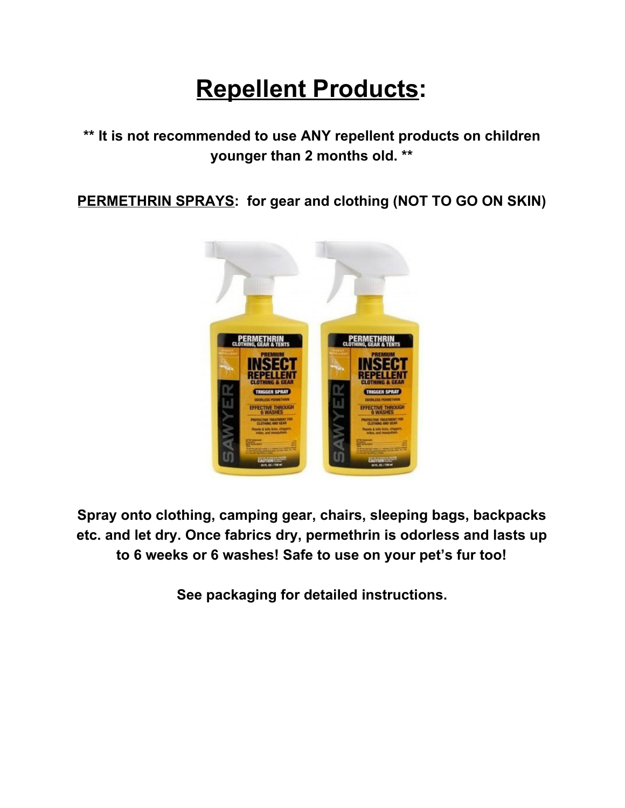## **Repellent Products:**

#### **\*\* It is not recommended to use ANY repellent products on children younger than 2 months old. \*\***

**PERMETHRIN SPRAYS: for gear and clothing (NOT TO GO ON SKIN)**



**Spray onto clothing, camping gear, chairs, sleeping bags, backpacks etc. and let dry. Once fabrics dry, permethrin is odorless and lasts up to 6 weeks or 6 washes! Safe to use on your pet's fur too!**

**See packaging for detailed instructions.**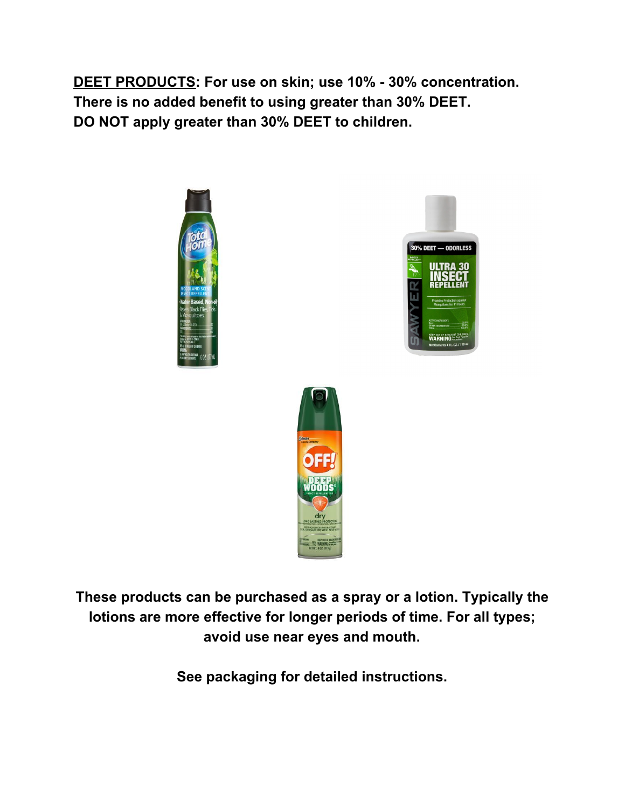**DEET PRODUCTS: For use on skin; use 10% - 30% concentration. There is no added benefit to using greater than 30% DEET. DO NOT apply greater than 30% DEET to children.**







**These products can be purchased as a spray or a lotion. Typically the lotions are more effective for longer periods of time. For all types; avoid use near eyes and mouth.**

**See packaging for detailed instructions.**